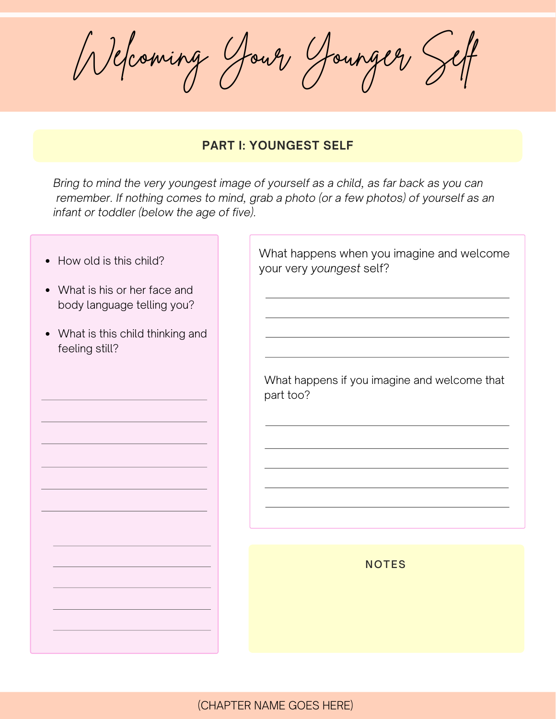Welcoming Your Younger Self

## **PART I: YOUNGEST SELF**

*Bring to mind the very youngest image of yourself as a child, as far back as you can remember. If nothing comes to mind, grab a photo (or a few photos) of yourself as an infant or toddler (below the age of five).*

| How old is this child?<br>$\bullet$                                    | What happens when you imagine and welcome<br>your very youngest self? |
|------------------------------------------------------------------------|-----------------------------------------------------------------------|
| What is his or her face and<br>$\bullet$<br>body language telling you? |                                                                       |
| • What is this child thinking and<br>feeling still?                    |                                                                       |
|                                                                        | What happens if you imagine and welcome that<br>part too?             |
|                                                                        |                                                                       |
|                                                                        |                                                                       |
|                                                                        |                                                                       |
|                                                                        |                                                                       |
|                                                                        | <b>NOTES</b>                                                          |
|                                                                        |                                                                       |
|                                                                        |                                                                       |
|                                                                        |                                                                       |
|                                                                        |                                                                       |

(CHAPTER NAME GOES HERE)